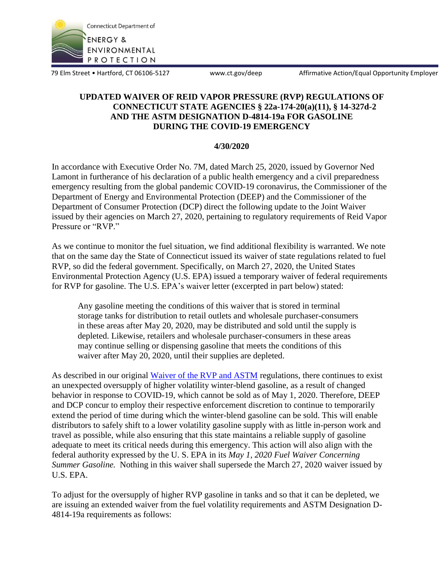

79 Elm Street • Hartford, CT 06106-5127 www.ct.gov/deep Affirmative Action/Equal Opportunity Employer

## **UPDATED WAIVER OF REID VAPOR PRESSURE (RVP) REGULATIONS OF CONNECTICUT STATE AGENCIES § 22a-174-20(a)(11), § 14-327d-2 AND THE ASTM DESIGNATION D-4814-19a FOR GASOLINE DURING THE COVID-19 EMERGENCY**

## **4/30/2020**

In accordance with Executive Order No. 7M, dated March 25, 2020, issued by Governor Ned Lamont in furtherance of his declaration of a public health emergency and a civil preparedness emergency resulting from the global pandemic COVID-19 coronavirus, the Commissioner of the Department of Energy and Environmental Protection (DEEP) and the Commissioner of the Department of Consumer Protection (DCP) direct the following update to the Joint Waiver issued by their agencies on March 27, 2020, pertaining to regulatory requirements of Reid Vapor Pressure or "RVP."

As we continue to monitor the fuel situation, we find additional flexibility is warranted. We note that on the same day the State of Connecticut issued its waiver of state regulations related to fuel RVP, so did the federal government. Specifically, on March 27, 2020, the United States Environmental Protection Agency (U.S. EPA) issued a temporary waiver of federal requirements for RVP for gasoline. The U.S. EPA's waiver letter (excerpted in part below) stated:

Any gasoline meeting the conditions of this waiver that is stored in terminal storage tanks for distribution to retail outlets and wholesale purchaser-consumers in these areas after May 20, 2020, may be distributed and sold until the supply is depleted. Likewise, retailers and wholesale purchaser-consumers in these areas may continue selling or dispensing gasoline that meets the conditions of this waiver after May 20, 2020, until their supplies are depleted.

As described in our original [Waiver of the RVP and ASTM](https://portal.ct.gov/-/media/DEEP/COVID-19/DEEP-RVP-Waiver-final-3272020.pdf?la=en) regulations, there continues to exist an unexpected oversupply of higher volatility winter-blend gasoline, as a result of changed behavior in response to COVID-19, which cannot be sold as of May 1, 2020. Therefore, DEEP and DCP concur to employ their respective enforcement discretion to continue to temporarily extend the period of time during which the winter-blend gasoline can be sold. This will enable distributors to safely shift to a lower volatility gasoline supply with as little in-person work and travel as possible, while also ensuring that this state maintains a reliable supply of gasoline adequate to meet its critical needs during this emergency. This action will also align with the federal authority expressed by the U. S. EPA in its *May 1, 2020 Fuel Waiver Concerning Summer Gasoline.* Nothing in this waiver shall supersede the March 27, 2020 waiver issued by U.S. EPA.

To adjust for the oversupply of higher RVP gasoline in tanks and so that it can be depleted, we are issuing an extended waiver from the fuel volatility requirements and ASTM Designation D-4814-19a requirements as follows: